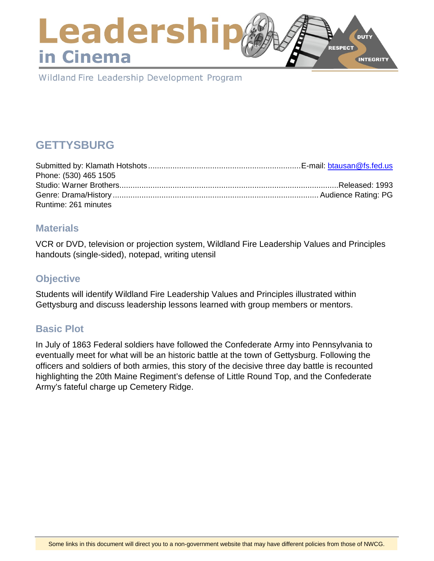# Leadershi **DUTY RESPECT** in Cinema **INTEGRITY**

Wildland Fire Leadership Development Program

# **GETTYSBURG**

| Phone: (530) 465 1505 |  |
|-----------------------|--|
|                       |  |
|                       |  |
| Runtime: 261 minutes  |  |

### **Materials**

VCR or DVD, television or projection system, Wildland Fire Leadership Values and Principles handouts (single-sided), notepad, writing utensil

### **Objective**

Students will identify Wildland Fire Leadership Values and Principles illustrated within Gettysburg and discuss leadership lessons learned with group members or mentors.

## **Basic Plot**

In July of 1863 Federal soldiers have followed the Confederate Army into Pennsylvania to eventually meet for what will be an historic battle at the town of Gettysburg. Following the officers and soldiers of both armies, this story of the decisive three day battle is recounted highlighting the 20th Maine Regiment's defense of Little Round Top, and the Confederate Army's fateful charge up Cemetery Ridge.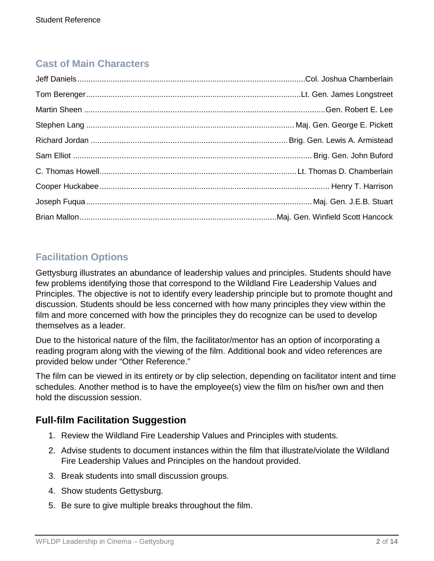# **Cast of Main Characters**

# **Facilitation Options**

Gettysburg illustrates an abundance of leadership values and principles. Students should have few problems identifying those that correspond to the Wildland Fire Leadership Values and Principles. The objective is not to identify every leadership principle but to promote thought and discussion. Students should be less concerned with how many principles they view within the film and more concerned with how the principles they do recognize can be used to develop themselves as a leader.

Due to the historical nature of the film, the facilitator/mentor has an option of incorporating a reading program along with the viewing of the film. Additional book and video references are provided below under "Other Reference."

The film can be viewed in its entirety or by clip selection, depending on facilitator intent and time schedules. Another method is to have the employee(s) view the film on his/her own and then hold the discussion session.

# **Full-film Facilitation Suggestion**

- 1. Review the Wildland Fire Leadership Values and Principles with students.
- 2. Advise students to document instances within the film that illustrate/violate the Wildland Fire Leadership Values and Principles on the handout provided.
- 3. Break students into small discussion groups.
- 4. Show students Gettysburg.
- 5. Be sure to give multiple breaks throughout the film.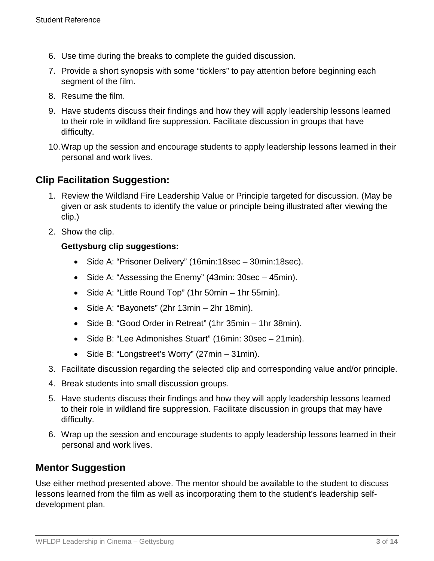- 6. Use time during the breaks to complete the guided discussion.
- 7. Provide a short synopsis with some "ticklers" to pay attention before beginning each segment of the film.
- 8. Resume the film.
- 9. Have students discuss their findings and how they will apply leadership lessons learned to their role in wildland fire suppression. Facilitate discussion in groups that have difficulty.
- 10.Wrap up the session and encourage students to apply leadership lessons learned in their personal and work lives.

# **Clip Facilitation Suggestion:**

- 1. Review the Wildland Fire Leadership Value or Principle targeted for discussion. (May be given or ask students to identify the value or principle being illustrated after viewing the clip.)
- 2. Show the clip.

### **Gettysburg clip suggestions:**

- Side A: "Prisoner Delivery" (16min:18sec 30min:18sec).
- Side A: "Assessing the Enemy" (43min: 30sec 45min).
- Side A: "Little Round Top" (1hr 50min 1hr 55min).
- Side A: "Bayonets" (2hr 13min 2hr 18min).
- Side B: "Good Order in Retreat" (1hr 35min 1hr 38min).
- Side B: "Lee Admonishes Stuart" (16min: 30sec 21min).
- Side B: "Longstreet's Worry" (27min 31min).
- 3. Facilitate discussion regarding the selected clip and corresponding value and/or principle.
- 4. Break students into small discussion groups.
- 5. Have students discuss their findings and how they will apply leadership lessons learned to their role in wildland fire suppression. Facilitate discussion in groups that may have difficulty.
- 6. Wrap up the session and encourage students to apply leadership lessons learned in their personal and work lives.

## **Mentor Suggestion**

Use either method presented above. The mentor should be available to the student to discuss lessons learned from the film as well as incorporating them to the student's leadership selfdevelopment plan.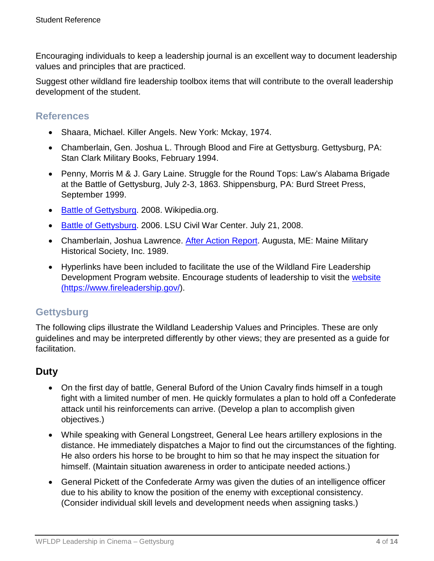Encouraging individuals to keep a leadership journal is an excellent way to document leadership values and principles that are practiced.

Suggest other wildland fire leadership toolbox items that will contribute to the overall leadership development of the student.

### **References**

- Shaara, Michael. Killer Angels. New York: Mckay, 1974.
- Chamberlain, Gen. Joshua L. Through Blood and Fire at Gettysburg. Gettysburg, PA: Stan Clark Military Books, February 1994.
- Penny, Morris M & J. Gary Laine. Struggle for the Round Tops: Law's Alabama Brigade at the Battle of Gettysburg, July 2-3, 1863. Shippensburg, PA: Burd Street Press, September 1999.
- [Battle of Gettysburg.](http://en.wikipedia.org/wiki/Battle_of_Gettysburg) 2008. Wikipedia.org.
- [Battle of Gettysburg.](http://www.civilwarhome.com/gettysbu.htm) 2006. LSU Civil War Center. July 21, 2008.
- Chamberlain, Joshua Lawrence. [After Action Report.](http://usacac.army.mil/cac2/cgsc/carl/download/csipubs/chamberlain.pdf) Augusta, ME: Maine Military Historical Society, Inc. 1989.
- Hyperlinks have been included to facilitate the use of the Wildland Fire Leadership Development Program website. Encourage students of leadership to visit the [website](https://www.fireleadership.gov/)  [\(https://www.fireleadership.gov/\)](https://www.fireleadership.gov/).

# **Gettysburg**

The following clips illustrate the Wildland Leadership Values and Principles. These are only guidelines and may be interpreted differently by other views; they are presented as a guide for facilitation.

## **Duty**

- On the first day of battle, General Buford of the Union Cavalry finds himself in a tough fight with a limited number of men. He quickly formulates a plan to hold off a Confederate attack until his reinforcements can arrive. (Develop a plan to accomplish given objectives.)
- While speaking with General Longstreet, General Lee hears artillery explosions in the distance. He immediately dispatches a Major to find out the circumstances of the fighting. He also orders his horse to be brought to him so that he may inspect the situation for himself. (Maintain situation awareness in order to anticipate needed actions.)
- General Pickett of the Confederate Army was given the duties of an intelligence officer due to his ability to know the position of the enemy with exceptional consistency. (Consider individual skill levels and development needs when assigning tasks.)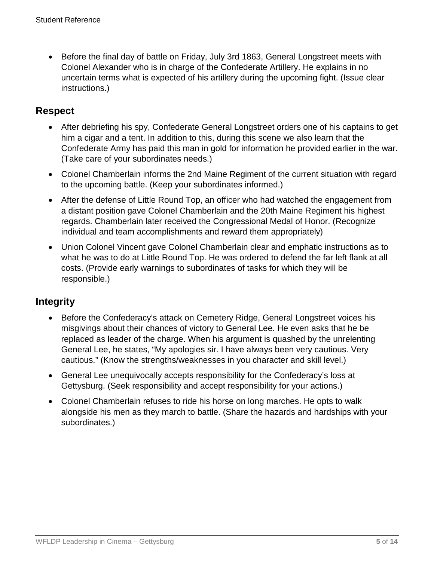• Before the final day of battle on Friday, July 3rd 1863, General Longstreet meets with Colonel Alexander who is in charge of the Confederate Artillery. He explains in no uncertain terms what is expected of his artillery during the upcoming fight. (Issue clear instructions.)

# **Respect**

- After debriefing his spy, Confederate General Longstreet orders one of his captains to get him a cigar and a tent. In addition to this, during this scene we also learn that the Confederate Army has paid this man in gold for information he provided earlier in the war. (Take care of your subordinates needs.)
- Colonel Chamberlain informs the 2nd Maine Regiment of the current situation with regard to the upcoming battle. (Keep your subordinates informed.)
- After the defense of Little Round Top, an officer who had watched the engagement from a distant position gave Colonel Chamberlain and the 20th Maine Regiment his highest regards. Chamberlain later received the Congressional Medal of Honor. (Recognize individual and team accomplishments and reward them appropriately)
- Union Colonel Vincent gave Colonel Chamberlain clear and emphatic instructions as to what he was to do at Little Round Top. He was ordered to defend the far left flank at all costs. (Provide early warnings to subordinates of tasks for which they will be responsible.)

# **Integrity**

- Before the Confederacy's attack on Cemetery Ridge, General Longstreet voices his misgivings about their chances of victory to General Lee. He even asks that he be replaced as leader of the charge. When his argument is quashed by the unrelenting General Lee, he states, "My apologies sir. I have always been very cautious. Very cautious." (Know the strengths/weaknesses in you character and skill level.)
- General Lee unequivocally accepts responsibility for the Confederacy's loss at Gettysburg. (Seek responsibility and accept responsibility for your actions.)
- Colonel Chamberlain refuses to ride his horse on long marches. He opts to walk alongside his men as they march to battle. (Share the hazards and hardships with your subordinates.)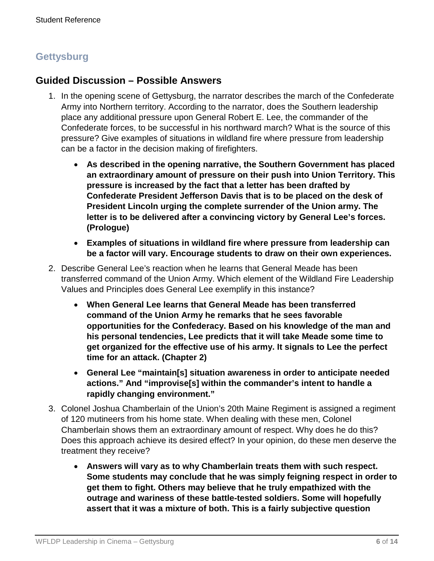# **Gettysburg**

### **Guided Discussion – Possible Answers**

- 1. In the opening scene of Gettysburg, the narrator describes the march of the Confederate Army into Northern territory. According to the narrator, does the Southern leadership place any additional pressure upon General Robert E. Lee, the commander of the Confederate forces, to be successful in his northward march? What is the source of this pressure? Give examples of situations in wildland fire where pressure from leadership can be a factor in the decision making of firefighters.
	- **As described in the opening narrative, the Southern Government has placed an extraordinary amount of pressure on their push into Union Territory. This pressure is increased by the fact that a letter has been drafted by Confederate President Jefferson Davis that is to be placed on the desk of President Lincoln urging the complete surrender of the Union army. The letter is to be delivered after a convincing victory by General Lee's forces. (Prologue)**
	- **Examples of situations in wildland fire where pressure from leadership can be a factor will vary. Encourage students to draw on their own experiences.**
- 2. Describe General Lee's reaction when he learns that General Meade has been transferred command of the Union Army. Which element of the Wildland Fire Leadership Values and Principles does General Lee exemplify in this instance?
	- **When General Lee learns that General Meade has been transferred command of the Union Army he remarks that he sees favorable opportunities for the Confederacy. Based on his knowledge of the man and his personal tendencies, Lee predicts that it will take Meade some time to get organized for the effective use of his army. It signals to Lee the perfect time for an attack. (Chapter 2)**
	- **General Lee "maintain[s] situation awareness in order to anticipate needed actions." And "improvise[s] within the commander's intent to handle a rapidly changing environment."**
- 3. Colonel Joshua Chamberlain of the Union's 20th Maine Regiment is assigned a regiment of 120 mutineers from his home state. When dealing with these men, Colonel Chamberlain shows them an extraordinary amount of respect. Why does he do this? Does this approach achieve its desired effect? In your opinion, do these men deserve the treatment they receive?
	- **Answers will vary as to why Chamberlain treats them with such respect. Some students may conclude that he was simply feigning respect in order to get them to fight. Others may believe that he truly empathized with the outrage and wariness of these battle-tested soldiers. Some will hopefully assert that it was a mixture of both. This is a fairly subjective question**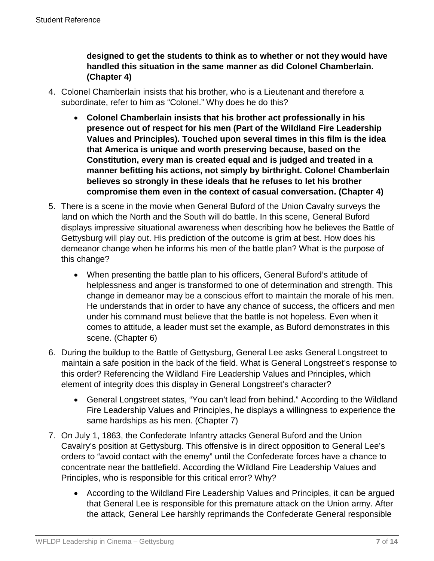**designed to get the students to think as to whether or not they would have handled this situation in the same manner as did Colonel Chamberlain. (Chapter 4)**

- 4. Colonel Chamberlain insists that his brother, who is a Lieutenant and therefore a subordinate, refer to him as "Colonel." Why does he do this?
	- **Colonel Chamberlain insists that his brother act professionally in his presence out of respect for his men (Part of the Wildland Fire Leadership Values and Principles). Touched upon several times in this film is the idea that America is unique and worth preserving because, based on the Constitution, every man is created equal and is judged and treated in a manner befitting his actions, not simply by birthright. Colonel Chamberlain believes so strongly in these ideals that he refuses to let his brother compromise them even in the context of casual conversation. (Chapter 4)**
- 5. There is a scene in the movie when General Buford of the Union Cavalry surveys the land on which the North and the South will do battle. In this scene, General Buford displays impressive situational awareness when describing how he believes the Battle of Gettysburg will play out. His prediction of the outcome is grim at best. How does his demeanor change when he informs his men of the battle plan? What is the purpose of this change?
	- When presenting the battle plan to his officers, General Buford's attitude of helplessness and anger is transformed to one of determination and strength. This change in demeanor may be a conscious effort to maintain the morale of his men. He understands that in order to have any chance of success, the officers and men under his command must believe that the battle is not hopeless. Even when it comes to attitude, a leader must set the example, as Buford demonstrates in this scene. (Chapter 6)
- 6. During the buildup to the Battle of Gettysburg, General Lee asks General Longstreet to maintain a safe position in the back of the field. What is General Longstreet's response to this order? Referencing the Wildland Fire Leadership Values and Principles, which element of integrity does this display in General Longstreet's character?
	- General Longstreet states, "You can't lead from behind." According to the Wildland Fire Leadership Values and Principles, he displays a willingness to experience the same hardships as his men. (Chapter 7)
- 7. On July 1, 1863, the Confederate Infantry attacks General Buford and the Union Cavalry's position at Gettysburg. This offensive is in direct opposition to General Lee's orders to "avoid contact with the enemy" until the Confederate forces have a chance to concentrate near the battlefield. According the Wildland Fire Leadership Values and Principles, who is responsible for this critical error? Why?
	- According to the Wildland Fire Leadership Values and Principles, it can be argued that General Lee is responsible for this premature attack on the Union army. After the attack, General Lee harshly reprimands the Confederate General responsible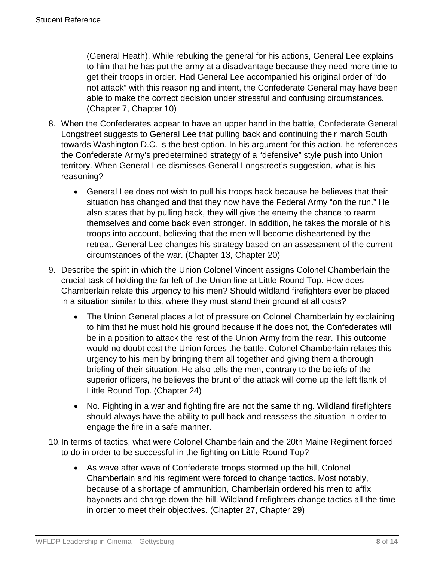(General Heath). While rebuking the general for his actions, General Lee explains to him that he has put the army at a disadvantage because they need more time to get their troops in order. Had General Lee accompanied his original order of "do not attack" with this reasoning and intent, the Confederate General may have been able to make the correct decision under stressful and confusing circumstances. (Chapter 7, Chapter 10)

- 8. When the Confederates appear to have an upper hand in the battle, Confederate General Longstreet suggests to General Lee that pulling back and continuing their march South towards Washington D.C. is the best option. In his argument for this action, he references the Confederate Army's predetermined strategy of a "defensive" style push into Union territory. When General Lee dismisses General Longstreet's suggestion, what is his reasoning?
	- General Lee does not wish to pull his troops back because he believes that their situation has changed and that they now have the Federal Army "on the run." He also states that by pulling back, they will give the enemy the chance to rearm themselves and come back even stronger. In addition, he takes the morale of his troops into account, believing that the men will become disheartened by the retreat. General Lee changes his strategy based on an assessment of the current circumstances of the war. (Chapter 13, Chapter 20)
- 9. Describe the spirit in which the Union Colonel Vincent assigns Colonel Chamberlain the crucial task of holding the far left of the Union line at Little Round Top. How does Chamberlain relate this urgency to his men? Should wildland firefighters ever be placed in a situation similar to this, where they must stand their ground at all costs?
	- The Union General places a lot of pressure on Colonel Chamberlain by explaining to him that he must hold his ground because if he does not, the Confederates will be in a position to attack the rest of the Union Army from the rear. This outcome would no doubt cost the Union forces the battle. Colonel Chamberlain relates this urgency to his men by bringing them all together and giving them a thorough briefing of their situation. He also tells the men, contrary to the beliefs of the superior officers, he believes the brunt of the attack will come up the left flank of Little Round Top. (Chapter 24)
	- No. Fighting in a war and fighting fire are not the same thing. Wildland firefighters should always have the ability to pull back and reassess the situation in order to engage the fire in a safe manner.
- 10.In terms of tactics, what were Colonel Chamberlain and the 20th Maine Regiment forced to do in order to be successful in the fighting on Little Round Top?
	- As wave after wave of Confederate troops stormed up the hill, Colonel Chamberlain and his regiment were forced to change tactics. Most notably, because of a shortage of ammunition, Chamberlain ordered his men to affix bayonets and charge down the hill. Wildland firefighters change tactics all the time in order to meet their objectives. (Chapter 27, Chapter 29)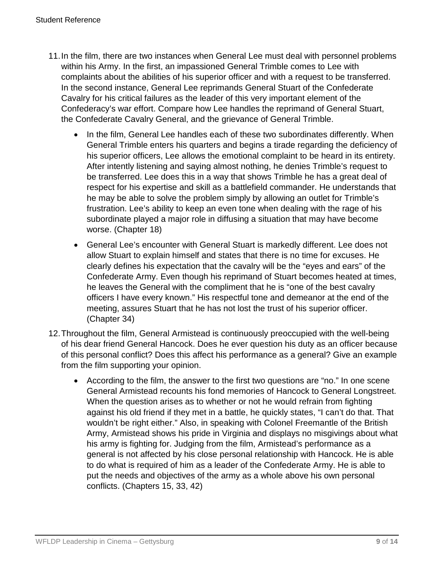- 11.In the film, there are two instances when General Lee must deal with personnel problems within his Army. In the first, an impassioned General Trimble comes to Lee with complaints about the abilities of his superior officer and with a request to be transferred. In the second instance, General Lee reprimands General Stuart of the Confederate Cavalry for his critical failures as the leader of this very important element of the Confederacy's war effort. Compare how Lee handles the reprimand of General Stuart, the Confederate Cavalry General, and the grievance of General Trimble.
	- In the film, General Lee handles each of these two subordinates differently. When General Trimble enters his quarters and begins a tirade regarding the deficiency of his superior officers, Lee allows the emotional complaint to be heard in its entirety. After intently listening and saying almost nothing, he denies Trimble's request to be transferred. Lee does this in a way that shows Trimble he has a great deal of respect for his expertise and skill as a battlefield commander. He understands that he may be able to solve the problem simply by allowing an outlet for Trimble's frustration. Lee's ability to keep an even tone when dealing with the rage of his subordinate played a major role in diffusing a situation that may have become worse. (Chapter 18)
	- General Lee's encounter with General Stuart is markedly different. Lee does not allow Stuart to explain himself and states that there is no time for excuses. He clearly defines his expectation that the cavalry will be the "eyes and ears" of the Confederate Army. Even though his reprimand of Stuart becomes heated at times, he leaves the General with the compliment that he is "one of the best cavalry officers I have every known." His respectful tone and demeanor at the end of the meeting, assures Stuart that he has not lost the trust of his superior officer. (Chapter 34)
- 12.Throughout the film, General Armistead is continuously preoccupied with the well-being of his dear friend General Hancock. Does he ever question his duty as an officer because of this personal conflict? Does this affect his performance as a general? Give an example from the film supporting your opinion.
	- According to the film, the answer to the first two questions are "no." In one scene General Armistead recounts his fond memories of Hancock to General Longstreet. When the question arises as to whether or not he would refrain from fighting against his old friend if they met in a battle, he quickly states, "I can't do that. That wouldn't be right either." Also, in speaking with Colonel Freemantle of the British Army, Armistead shows his pride in Virginia and displays no misgivings about what his army is fighting for. Judging from the film, Armistead's performance as a general is not affected by his close personal relationship with Hancock. He is able to do what is required of him as a leader of the Confederate Army. He is able to put the needs and objectives of the army as a whole above his own personal conflicts. (Chapters 15, 33, 42)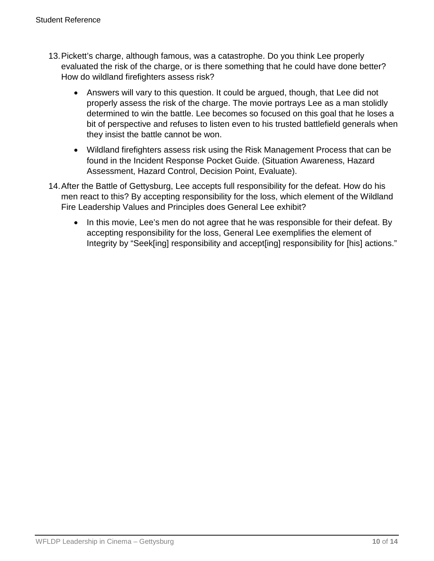- 13.Pickett's charge, although famous, was a catastrophe. Do you think Lee properly evaluated the risk of the charge, or is there something that he could have done better? How do wildland firefighters assess risk?
	- Answers will vary to this question. It could be argued, though, that Lee did not properly assess the risk of the charge. The movie portrays Lee as a man stolidly determined to win the battle. Lee becomes so focused on this goal that he loses a bit of perspective and refuses to listen even to his trusted battlefield generals when they insist the battle cannot be won.
	- Wildland firefighters assess risk using the Risk Management Process that can be found in the Incident Response Pocket Guide. (Situation Awareness, Hazard Assessment, Hazard Control, Decision Point, Evaluate).
- 14.After the Battle of Gettysburg, Lee accepts full responsibility for the defeat. How do his men react to this? By accepting responsibility for the loss, which element of the Wildland Fire Leadership Values and Principles does General Lee exhibit?
	- In this movie, Lee's men do not agree that he was responsible for their defeat. By accepting responsibility for the loss, General Lee exemplifies the element of Integrity by "Seek[ing] responsibility and accept[ing] responsibility for [his] actions."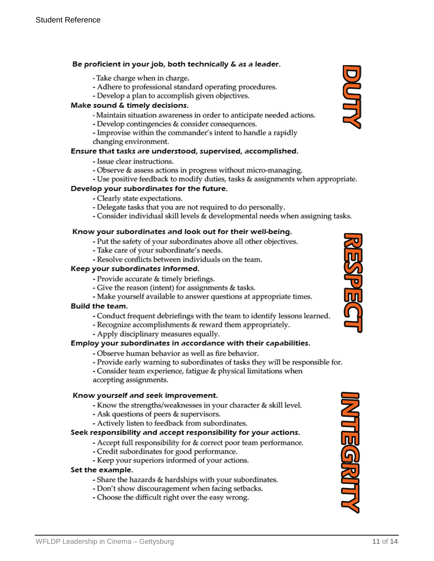#### Be proficient in your job, both technically & as a leader.

- Take charge when in charge.
- Adhere to professional standard operating procedures.
- Develop a plan to accomplish given objectives.

#### Make sound & timely decisions.

- Maintain situation awareness in order to anticipate needed actions.
- Develop contingencies & consider consequences.
- Improvise within the commander's intent to handle a rapidly changing environment.

#### Ensure that tasks are understood, supervised, accomplished.

- Issue clear instructions.
- Observe & assess actions in progress without micro-managing.
- Use positive feedback to modify duties, tasks & assignments when appropriate.

#### Develop your subordinates for the future.

- Clearly state expectations.
- Delegate tasks that you are not required to do personally.
- Consider individual skill levels & developmental needs when assigning tasks.

#### Know your subordinates and look out for their well-being.

- Put the safety of your subordinates above all other objectives.
- Take care of your subordinate's needs.
- Resolve conflicts between individuals on the team.

#### Keep your subordinates informed.

- Provide accurate & timely briefings.
- Give the reason (intent) for assignments & tasks.
- Make yourself available to answer questions at appropriate times.

#### Build the team.

- Conduct frequent debriefings with the team to identify lessons learned.
- Recognize accomplishments & reward them appropriately.
- Apply disciplinary measures equally.

#### Employ your subordinates in accordance with their capabilities.

- Observe human behavior as well as fire behavior.
- Provide early warning to subordinates of tasks they will be responsible for.

- Consider team experience, fatigue & physical limitations when accepting assignments.

#### Know yourself and seek improvement.

- Know the strengths/weaknesses in your character & skill level.
- Ask questions of peers & supervisors.
- Actively listen to feedback from subordinates.

#### Seek responsibility and accept responsibility for your actions.

- Accept full responsibility for & correct poor team performance.
- Credit subordinates for good performance.
- Keep your superiors informed of your actions.

#### Set the example.

- Share the hazards & hardships with your subordinates.
- Don't show discouragement when facing setbacks.
- Choose the difficult right over the easy wrong.





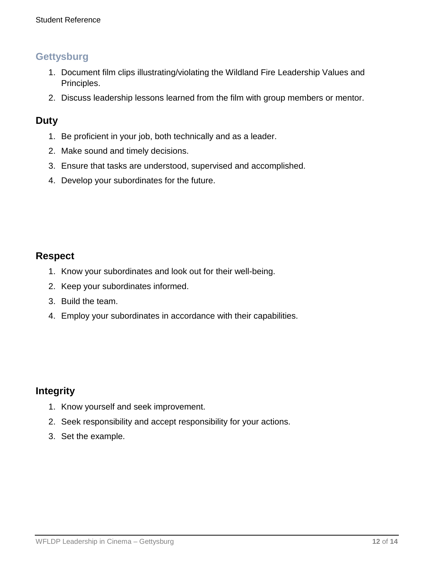# **Gettysburg**

- 1. Document film clips illustrating/violating the Wildland Fire Leadership Values and Principles.
- 2. Discuss leadership lessons learned from the film with group members or mentor.

### **Duty**

- 1. Be proficient in your job, both technically and as a leader.
- 2. Make sound and timely decisions.
- 3. Ensure that tasks are understood, supervised and accomplished.
- 4. Develop your subordinates for the future.

## **Respect**

- 1. Know your subordinates and look out for their well-being.
- 2. Keep your subordinates informed.
- 3. Build the team.
- 4. Employ your subordinates in accordance with their capabilities.

## **Integrity**

- 1. Know yourself and seek improvement.
- 2. Seek responsibility and accept responsibility for your actions.
- 3. Set the example.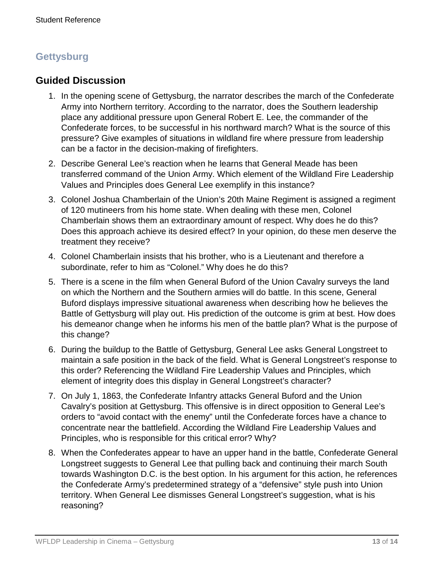# **Gettysburg**

# **Guided Discussion**

- 1. In the opening scene of Gettysburg, the narrator describes the march of the Confederate Army into Northern territory. According to the narrator, does the Southern leadership place any additional pressure upon General Robert E. Lee, the commander of the Confederate forces, to be successful in his northward march? What is the source of this pressure? Give examples of situations in wildland fire where pressure from leadership can be a factor in the decision-making of firefighters.
- 2. Describe General Lee's reaction when he learns that General Meade has been transferred command of the Union Army. Which element of the Wildland Fire Leadership Values and Principles does General Lee exemplify in this instance?
- 3. Colonel Joshua Chamberlain of the Union's 20th Maine Regiment is assigned a regiment of 120 mutineers from his home state. When dealing with these men, Colonel Chamberlain shows them an extraordinary amount of respect. Why does he do this? Does this approach achieve its desired effect? In your opinion, do these men deserve the treatment they receive?
- 4. Colonel Chamberlain insists that his brother, who is a Lieutenant and therefore a subordinate, refer to him as "Colonel." Why does he do this?
- 5. There is a scene in the film when General Buford of the Union Cavalry surveys the land on which the Northern and the Southern armies will do battle. In this scene, General Buford displays impressive situational awareness when describing how he believes the Battle of Gettysburg will play out. His prediction of the outcome is grim at best. How does his demeanor change when he informs his men of the battle plan? What is the purpose of this change?
- 6. During the buildup to the Battle of Gettysburg, General Lee asks General Longstreet to maintain a safe position in the back of the field. What is General Longstreet's response to this order? Referencing the Wildland Fire Leadership Values and Principles, which element of integrity does this display in General Longstreet's character?
- 7. On July 1, 1863, the Confederate Infantry attacks General Buford and the Union Cavalry's position at Gettysburg. This offensive is in direct opposition to General Lee's orders to "avoid contact with the enemy" until the Confederate forces have a chance to concentrate near the battlefield. According the Wildland Fire Leadership Values and Principles, who is responsible for this critical error? Why?
- 8. When the Confederates appear to have an upper hand in the battle, Confederate General Longstreet suggests to General Lee that pulling back and continuing their march South towards Washington D.C. is the best option. In his argument for this action, he references the Confederate Army's predetermined strategy of a "defensive" style push into Union territory. When General Lee dismisses General Longstreet's suggestion, what is his reasoning?